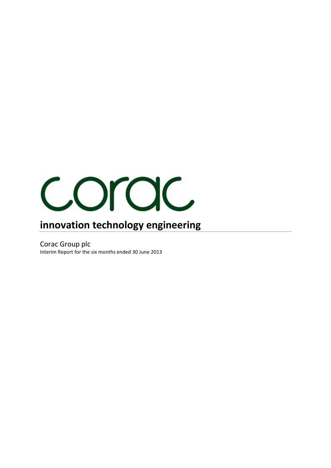

# **innovation technology engineering**

Corac Group plc Interim Report for the six months ended 30 June 2013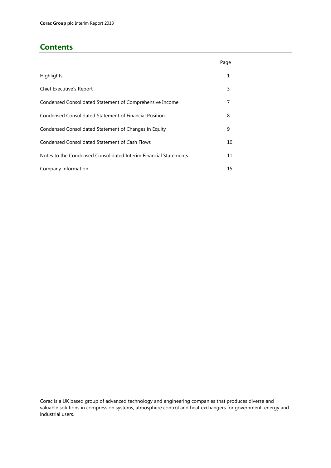## **Contents**

|                                                                  | Page |
|------------------------------------------------------------------|------|
| Highlights                                                       | 1    |
| Chief Executive's Report                                         | 3    |
| Condensed Consolidated Statement of Comprehensive Income         | 7    |
| Condensed Consolidated Statement of Financial Position           | 8    |
| Condensed Consolidated Statement of Changes in Equity            | 9    |
| Condensed Consolidated Statement of Cash Flows                   | 10   |
| Notes to the Condensed Consolidated Interim Financial Statements | 11   |
| Company Information                                              | 15   |

Corac is a UK based group of advanced technology and engineering companies that produces diverse and valuable solutions in compression systems, atmosphere control and heat exchangers for government, energy and industrial users.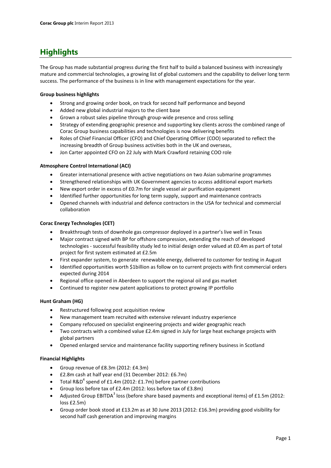## **Highlights**

The Group has made substantial progress during the first half to build a balanced business with increasingly mature and commercial technologies, a growing list of global customers and the capability to deliver long term success. The performance of the business is in line with management expectations for the year.

#### **Group business highlights**

- Strong and growing order book, on track for second half performance and beyond
- Added new global industrial majors to the client base
- Grown a robust sales pipeline through group-wide presence and cross selling
- Strategy of extending geographic presence and supporting key clients across the combined range of Corac Group business capabilities and technologies is now delivering benefits
- Roles of Chief Financial Officer (CFO) and Chief Operating Officer (COO) separated to reflect the increasing breadth of Group business activities both in the UK and overseas,
- Jon Carter appointed CFO on 22 July with Mark Crawford retaining COO role

#### **Atmosphere Control International (ACI)**

- Greater international presence with active negotiations on two Asian submarine programmes
- Strengthened relationships with UK Government agencies to access additional export markets
- New export order in excess of £0.7m for single vessel air purification equipment
- Identified further opportunities for long term supply, support and maintenance contracts
- Opened channels with industrial and defence contractors in the USA for technical and commercial collaboration

#### **Corac Energy Technologies (CET)**

- Breakthrough tests of downhole gas compressor deployed in a partner's live well in Texas
- Major contract signed with BP for offshore compression, extending the reach of developed technologies - successful feasibility study led to initial design order valued at £0.4m as part of total project for first system estimated at £2.5m
- First expander system, to generate renewable energy, delivered to customer for testing in August
- Identified opportunities worth \$1billion as follow on to current projects with first commercial orders expected during 2014
- Regional office opened in Aberdeen to support the regional oil and gas market
- Continued to register new patent applications to protect growing IP portfolio

#### **Hunt Graham (HG)**

- Restructured following post acquisition review
- New management team recruited with extensive relevant industry experience
- Company refocused on specialist engineering projects and wider geographic reach
- Two contracts with a combined value £2.4m signed in July for large heat exchange projects with global partners
- Opened enlarged service and maintenance facility supporting refinery business in Scotland

### **Financial Highlights**

- Group revenue of £8.3m (2012: £4.3m)
- £2.8m cash at half year end (31 December 2012: £6.7m)
- Total R&D<sup>4</sup> spend of £1.4m (2012: £1.7m) before partner contributions
- Group loss before tax of £2.4m (2012: loss before tax of £3.8m)
- Adjusted Group EBITDA<sup>3</sup> loss (before share based payments and exceptional items) of £1.5m (2012: loss £2.5m)
- Group order book stood at £13.2m as at 30 June 2013 (2012: £16.3m) providing good visibility for second half cash generation and improving margins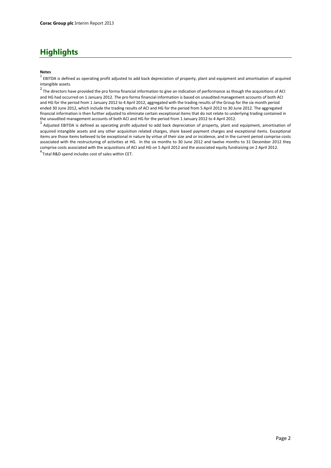## **Highlights**

#### **Notes**

 $^1$  EBITDA is defined as operating profit adjusted to add back depreciation of property, plant and equipment and amortisation of acquired intangible assets.

<sup>2</sup> The directors have provided the pro forma financial information to give an indication of performance as though the acquisitions of ACI and HG had occurred on 1 January 2012. The pro forma financial information is based on unaudited management accounts of both ACI and HG for the period from 1 January 2012 to 4 April 2012, aggregated with the trading results of the Group for the six month period ended 30 June 2012, which include the trading results of ACI and HG for the period from 5 April 2012 to 30 June 2012. The aggregated financial information is then further adjusted to eliminate certain exceptional items that do not relate to underlying trading contained in the unaudited management accounts of both ACI and HG for the period from 1 January 2012 to 4 April 2012.

 $^3$  Adjusted EBITDA is defined as operating profit adjusted to add back depreciation of property, plant and equipment, amortisation of acquired intangible assets and any other acquisition related charges, share based payment charges and exceptional items. Exceptional items are those items believed to be exceptional in nature by virtue of their size and or incidence, and in the current period comprise costs associated with the restructuring of activities at HG. In the six months to 30 June 2012 and twelve months to 31 December 2012 they comprise costs associated with the acquisitions of ACI and HG on 5 April 2012 and the associated equity fundraising on 2 April 2012.

<sup>4</sup> Total R&D spend includes cost of sales within CET.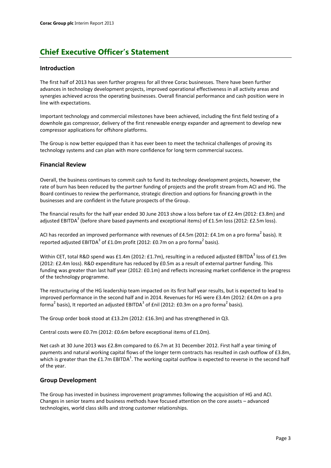### **Introduction**

The first half of 2013 has seen further progress for all three Corac businesses. There have been further advances in technology development projects, improved operational effectiveness in all activity areas and synergies achieved across the operating businesses. Overall financial performance and cash position were in line with expectations.

Important technology and commercial milestones have been achieved, including the first field testing of a downhole gas compressor, delivery of the first renewable energy expander and agreement to develop new compressor applications for offshore platforms.

The Group is now better equipped than it has ever been to meet the technical challenges of proving its technology systems and can plan with more confidence for long term commercial success.

### **Financial Review**

Overall, the business continues to commit cash to fund its technology development projects, however, the rate of burn has been reduced by the partner funding of projects and the profit stream from ACI and HG. The Board continues to review the performance, strategic direction and options for financing growth in the businesses and are confident in the future prospects of the Group.

The financial results for the half year ended 30 June 2013 show a loss before tax of £2.4m (2012: £3.8m) and adjusted EBITDA<sup>3</sup> (before share based payments and exceptional items) of £1.5m loss (2012: £2.5m loss).

ACI has recorded an improved performance with revenues of £4.5m (2012: £4.1m on a pro forma<sup>2</sup> basis). It reported adjusted EBITDA<sup>3</sup> of £1.0m profit (2012: £0.7m on a pro forma<sup>2</sup> basis).

Within CET, total R&D spend was £1.4m (2012: £1.7m), resulting in a reduced adjusted EBITDA<sup>3</sup> loss of £1.9m (2012: £2.4m loss). R&D expenditure has reduced by £0.5m as a result of external partner funding. This funding was greater than last half year (2012: £0.1m) and reflects increasing market confidence in the progress of the technology programme.

The restructuring of the HG leadership team impacted on its first half year results, but is expected to lead to improved performance in the second half and in 2014. Revenues for HG were £3.4m (2012: £4.0m on a pro forma<sup>2</sup> basis), It reported an adjusted EBITDA<sup>3</sup> of £nil (2012: £0.3m on a pro forma<sup>2</sup> basis).

The Group order book stood at £13.2m (2012: £16.3m) and has strengthened in Q3.

Central costs were £0.7m (2012: £0.6m before exceptional items of £1.0m).

Net cash at 30 June 2013 was £2.8m compared to £6.7m at 31 December 2012. First half a year timing of payments and natural working capital flows of the longer term contracts has resulted in cash outflow of £3.8m, which is greater than the £1.7m EBITDA<sup>1</sup>. The working capital outflow is expected to reverse in the second half of the year.

### **Group Development**

The Group has invested in business improvement programmes following the acquisition of HG and ACI. Changes in senior teams and business methods have focused attention on the core assets – advanced technologies, world class skills and strong customer relationships.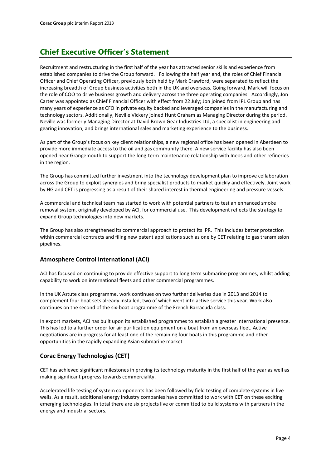Recruitment and restructuring in the first half of the year has attracted senior skills and experience from established companies to drive the Group forward. Following the half year end, the roles of Chief Financial Officer and Chief Operating Officer, previously both held by Mark Crawford, were separated to reflect the increasing breadth of Group business activities both in the UK and overseas. Going forward, Mark will focus on the role of COO to drive business growth and delivery across the three operating companies. Accordingly, Jon Carter was appointed as Chief Financial Officer with effect from 22 July; Jon joined from IPL Group and has many years of experience as CFO in private equity backed and leveraged companies in the manufacturing and technology sectors. Additionally, Neville Vickery joined Hunt Graham as Managing Director during the period. Neville was formerly Managing Director at David Brown Gear Industries Ltd, a specialist in engineering and gearing innovation, and brings international sales and marketing experience to the business.

As part of the Group's focus on key client relationships, a new regional office has been opened in Aberdeen to provide more immediate access to the oil and gas community there. A new service facility has also been opened near Grangemouth to support the long-term maintenance relationship with Ineos and other refineries in the region.

The Group has committed further investment into the technology development plan to improve collaboration across the Group to exploit synergies and bring specialist products to market quickly and effectively. Joint work by HG and CET is progressing as a result of their shared interest in thermal engineering and pressure vessels.

A commercial and technical team has started to work with potential partners to test an enhanced smoke removal system, originally developed by ACI, for commercial use. This development reflects the strategy to expand Group technologies into new markets.

The Group has also strengthened its commercial approach to protect its IPR. This includes better protection within commercial contracts and filing new patent applications such as one by CET relating to gas transmission pipelines.

## **Atmosphere Control International (ACI)**

ACI has focused on continuing to provide effective support to long term submarine programmes, whilst adding capability to work on international fleets and other commercial programmes.

In the UK Astute class programme, work continues on two further deliveries due in 2013 and 2014 to complement four boat sets already installed, two of which went into active service this year. Work also continues on the second of the six-boat programme of the French Barracuda class.

In export markets, ACI has built upon its established programmes to establish a greater international presence. This has led to a further order for air purification equipment on a boat from an overseas fleet. Active negotiations are in progress for at least one of the remaining four boats in this programme and other opportunities in the rapidly expanding Asian submarine market

## **Corac Energy Technologies (CET)**

CET has achieved significant milestones in proving its technology maturity in the first half of the year as well as making significant progress towards commerciality.

Accelerated life testing of system components has been followed by field testing of complete systems in live wells. As a result, additional energy industry companies have committed to work with CET on these exciting emerging technologies. In total there are six projects live or committed to build systems with partners in the energy and industrial sectors.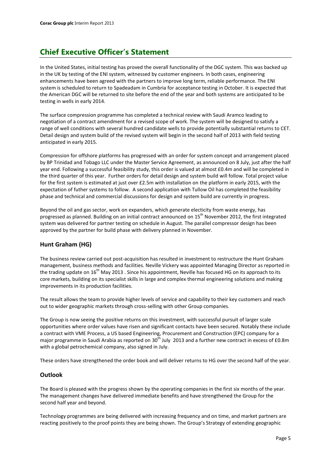In the United States, initial testing has proved the overall functionality of the DGC system. This was backed up in the UK by testing of the ENI system, witnessed by customer engineers. In both cases, engineering enhancements have been agreed with the partners to improve long term, reliable performance. The ENI system is scheduled to return to Spadeadam in Cumbria for acceptance testing in October. It is expected that the American DGC will be returned to site before the end of the year and both systems are anticipated to be testing in wells in early 2014.

The surface compression programme has completed a technical review with Saudi Aramco leading to negotiation of a contract amendment for a revised scope of work. The system will be designed to satisfy a range of well conditions with several hundred candidate wells to provide potentially substantial returns to CET. Detail design and system build of the revised system will begin in the second half of 2013 with field testing anticipated in early 2015.

Compression for offshore platforms has progressed with an order for system concept and arrangement placed by BP Trinidad and Tobago LLC under the Master Service Agreement, as announced on 8 July, just after the half year end. Following a successful feasibility study, this order is valued at almost £0.4m and will be completed in the third quarter of this year. Further orders for detail design and system build will follow. Total project value for the first system is estimated at just over £2.5m with installation on the platform in early 2015, with the expectation of futher systems to follow. A second application with Tullow Oil has completed the feasibility phase and technical and commercial discussions for design and system build are currently in progress.

Beyond the oil and gas sector, work on expanders, which generate electicity from waste energy, has progressed as planned. Building on an initial contract announced on 15<sup>th</sup> November 2012, the first integrated system was delivered for partner testing on schedule in August. The parallel compressor design has been approved by the partner for build phase with delivery planned in November.

## **Hunt Graham (HG)**

The business review carried out post-acquisition has resulted in investment to restructure the Hunt Graham management, business methods and facilities. Neville Vickery was appointed Managing Director as reported in the trading update on  $16<sup>th</sup>$  May 2013 . Since his appointment, Neville has focused HG on its approach to its core markets, building on its specialist skills in large and complex thermal engineering solutions and making improvements in its production facilities.

The result allows the team to provide higher levels of service and capability to their key customers and reach out to wider geographic markets through cross-selling with other Group companies.

The Group is now seeing the positive returns on this investment, with successful pursuit of larger scale opportunities where order values have risen and significant contacts have been secured. Notably these include a contract with VME Process, a US based Engineering, Procurement and Construction (EPC) company for a major programme in Saudi Arabia as reported on 30<sup>th</sup> July 2013 and a further new contract in excess of £0.8m with a global petrochemical company, also signed in July.

These orders have strengthened the order book and will deliver returns to HG over the second half of the year.

### **Outlook**

The Board is pleased with the progress shown by the operating companies in the first six months of the year. The management changes have delivered immediate benefits and have strengthened the Group for the second half year and beyond.

Technology programmes are being delivered with increasing frequency and on time, and market partners are reacting positively to the proof points they are being shown. The Group's Strategy of extending geographic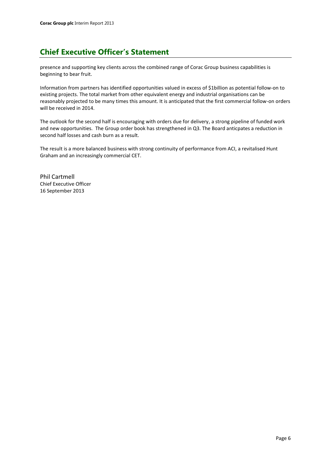presence and supporting key clients across the combined range of Corac Group business capabilities is beginning to bear fruit.

Information from partners has identified opportunities valued in excess of \$1billion as potential follow-on to existing projects. The total market from other equivalent energy and industrial organisations can be reasonably projected to be many times this amount. It is anticipated that the first commercial follow-on orders will be received in 2014.

The outlook for the second half is encouraging with orders due for delivery, a strong pipeline of funded work and new opportunities. The Group order book has strengthened in Q3. The Board anticpates a reduction in second half losses and cash burn as a result.

The result is a more balanced business with strong continuity of performance from ACI, a revitalised Hunt Graham and an increasingly commercial CET.

Phil Cartmell Chief Executive Officer 16 September 2013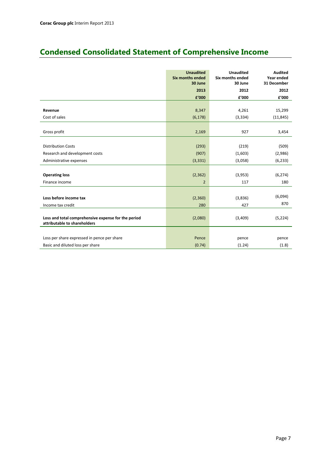## **Condensed Consolidated Statement of Comprehensive Income**

|                                                     | <b>Unaudited</b><br><b>Six months ended</b><br>30 June | <b>Unaudited</b><br><b>Six months ended</b><br>30 June | <b>Audited</b><br>Year ended<br>31 December |
|-----------------------------------------------------|--------------------------------------------------------|--------------------------------------------------------|---------------------------------------------|
|                                                     | 2013                                                   | 2012                                                   | 2012                                        |
|                                                     | f'000                                                  | £'000                                                  | £'000                                       |
|                                                     |                                                        |                                                        |                                             |
| Revenue                                             | 8,347                                                  | 4,261                                                  | 15,299                                      |
| Cost of sales                                       | (6, 178)                                               | (3, 334)                                               | (11, 845)                                   |
|                                                     |                                                        |                                                        |                                             |
| Gross profit                                        | 2,169                                                  | 927                                                    | 3,454                                       |
|                                                     |                                                        |                                                        |                                             |
| <b>Distribution Costs</b>                           | (293)                                                  | (219)                                                  | (509)                                       |
| Research and development costs                      | (907)                                                  | (1,603)                                                | (2,986)                                     |
| Administrative expenses                             | (3, 331)                                               | (3,058)                                                | (6, 233)                                    |
|                                                     |                                                        |                                                        |                                             |
| <b>Operating loss</b>                               | (2, 362)                                               | (3,953)                                                | (6, 274)                                    |
| Finance income                                      | $\overline{2}$                                         | 117                                                    | 180                                         |
|                                                     |                                                        |                                                        |                                             |
| Loss before income tax                              | (2,360)                                                | (3,836)                                                | (6,094)                                     |
| Income tax credit                                   | 280                                                    | 427                                                    | 870                                         |
|                                                     |                                                        |                                                        |                                             |
| Loss and total comprehensive expense for the period | (2,080)                                                | (3,409)                                                | (5, 224)                                    |
| attributable to shareholders                        |                                                        |                                                        |                                             |
|                                                     |                                                        |                                                        |                                             |
| Loss per share expressed in pence per share         | Pence                                                  | pence                                                  | pence                                       |
| Basic and diluted loss per share                    | (0.74)                                                 | (1.24)                                                 | (1.8)                                       |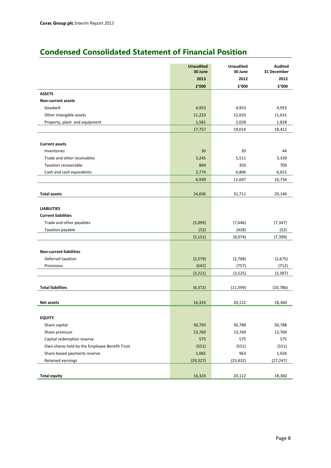## **Condensed Consolidated Statement of Financial Position**

|                                               | <b>Unaudited</b><br>30 June | Unaudited<br>30 June | <b>Audited</b><br>31 December |
|-----------------------------------------------|-----------------------------|----------------------|-------------------------------|
|                                               | 2013                        | 2012                 | 2012                          |
|                                               | £'000                       | £'000                | £'000                         |
| <b>ASSETS</b>                                 |                             |                      |                               |
| <b>Non-current assets</b>                     |                             |                      |                               |
| Goodwill                                      | 4,953                       | 4,953                | 4,953                         |
| Other intangible assets                       | 11,223                      | 12,033               | 11,631                        |
| Property, plant and equipment                 | 1,581                       | 2,028                | 1,828                         |
|                                               | 17,757                      | 19,014               | 18,412                        |
|                                               |                             |                      |                               |
| <b>Current assets</b>                         |                             |                      |                               |
| Inventories                                   | 36                          | 30                   | 44                            |
| Trade and other receivables                   | 3,245                       | 5,511                | 3,339                         |
| Taxation recoverable                          | 884                         | 350                  | 700                           |
| Cash and cash equivalents                     | 2,774                       | 6,806                | 6,651                         |
|                                               | 6,939                       | 12,697               | 10,734                        |
|                                               |                             |                      |                               |
| <b>Total assets</b>                           | 24,696                      | 31,711               | 29,146                        |
|                                               |                             |                      |                               |
| <b>LIABILITIES</b>                            |                             |                      |                               |
| <b>Current liabilities</b>                    |                             |                      |                               |
| Trade and other payables                      | (5,099)                     | (7,646)              | (7, 347)                      |
| Taxation payable                              | (52)                        | (428)                | (52)                          |
|                                               | (5, 151)                    | (8,074)              | (7, 399)                      |
|                                               |                             |                      |                               |
| <b>Non-current liabilities</b>                |                             |                      |                               |
| Deferred taxation                             | (2,579)                     | (2,768)              | (2,675)                       |
| Provisions                                    | (642)                       | (757)                | (712)                         |
|                                               | (3, 221)                    | (3,525)              | (3, 387)                      |
|                                               |                             |                      |                               |
| <b>Total liabilities</b>                      | (8, 372)                    | (11, 599)            | (10, 786)                     |
|                                               |                             |                      |                               |
| <b>Net assets</b>                             | 16,324                      | 20,112               | 18,360                        |
|                                               |                             |                      |                               |
| <b>EQUITY</b>                                 |                             |                      |                               |
| Share capital                                 | 30,793                      | 30,788               | 30,788                        |
| Share premium                                 | 13,769                      | 13,769               | 13,769                        |
| Capital redemption reserve                    | 575                         | 575                  | 575                           |
| Own shares held by the Employee Benefit Trust | (551)                       | (551)                | (551)                         |
| Share-based payments reserve                  | 1,065                       | 963                  | 1,026                         |
| Retained earnings                             | (29, 327)                   | (25, 432)            | (27, 247)                     |
|                                               |                             |                      |                               |
| <b>Total equity</b>                           | 16,324                      | 20,112               | 18,360                        |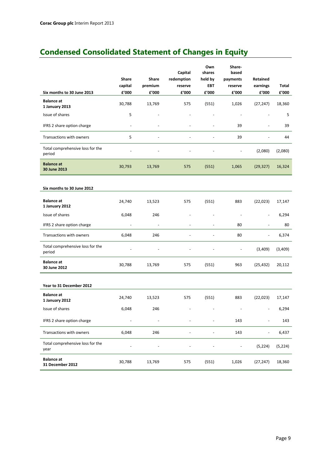## **Condensed Consolidated Statement of Changes in Equity**

|                                            |         |                          | Capital    | Own<br>shares            | Share-<br>based |                          |              |
|--------------------------------------------|---------|--------------------------|------------|--------------------------|-----------------|--------------------------|--------------|
|                                            | Share   | Share                    | redemption | held by                  | payments        | Retained                 |              |
|                                            | capital | premium                  | reserve    | <b>FBT</b>               | reserve         | earnings                 | <b>Total</b> |
| Six months to 30 June 2013                 | £'000   | £'000                    | £'000      | £'000                    | £'000           | £'000                    | £'000        |
| <b>Balance at</b><br>1 January 2013        | 30,788  | 13,769                   | 575        | (551)                    | 1,026           | (27, 247)                | 18,360       |
| Issue of shares                            | 5       |                          |            |                          | $\sim$          |                          | 5            |
| IFRS 2 share option charge                 | L,      |                          |            | L,                       | 39              | $\overline{\phantom{a}}$ | 39           |
| Transactions with owners                   | 5       |                          |            |                          | 39              |                          | 44           |
| Total comprehensive loss for the<br>period |         |                          |            |                          |                 | (2,080)                  | (2,080)      |
| <b>Balance at</b><br>30 June 2013          | 30,793  | 13,769                   | 575        | (551)                    | 1,065           | (29, 327)                | 16,324       |
|                                            |         |                          |            |                          |                 |                          |              |
| Six months to 30 June 2012                 |         |                          |            |                          |                 |                          |              |
| <b>Balance</b> at<br>1 January 2012        | 24,740  | 13,523                   | 575        | (551)                    | 883             | (22, 023)                | 17,147       |
| Issue of shares                            | 6,048   | 246                      |            |                          | $\blacksquare$  |                          | 6,294        |
| IFRS 2 share option charge                 |         | $\overline{\phantom{a}}$ |            | ÷,                       | 80              | $\overline{\phantom{a}}$ | 80           |
| Transactions with owners                   | 6,048   | 246                      |            | $\overline{\phantom{a}}$ | 80              | $\blacksquare$           | 6,374        |
| Total comprehensive loss for the<br>period |         |                          |            |                          | ÷,              | (3,409)                  | (3,409)      |
| <b>Balance at</b><br>30 June 2012          | 30,788  | 13,769                   | 575        | (551)                    | 963             | (25, 432)                | 20,112       |
|                                            |         |                          |            |                          |                 |                          |              |
| Year to 31 December 2012                   |         |                          |            |                          |                 |                          |              |
| <b>Balance</b> at<br>1 January 2012        | 24,740  | 13,523                   | 575        | (551)                    | 883             | (22, 023)                | 17,147       |
| Issue of shares                            | 6,048   | 246                      |            |                          |                 |                          | 6,294        |
| IFRS 2 share option charge                 |         |                          |            |                          | 143             |                          | 143          |
| Transactions with owners                   | 6,048   | 246                      |            |                          | 143             |                          | 6,437        |
| Total comprehensive loss for the<br>year   |         |                          |            |                          |                 | (5, 224)                 | (5, 224)     |
| <b>Balance at</b><br>31 December 2012      | 30,788  | 13,769                   | 575        | (551)                    | 1,026           | (27, 247)                | 18,360       |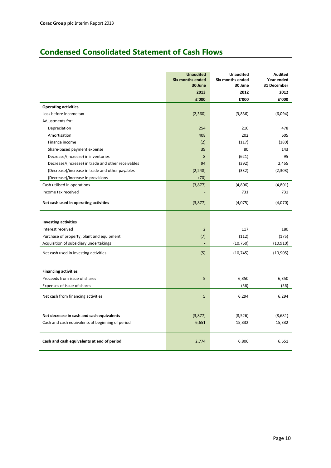## **Condensed Consolidated Statement of Cash Flows**

|                                                    | <b>Unaudited</b><br><b>Six months ended</b><br>30 June | <b>Unaudited</b><br>Six months ended<br>30 June | <b>Audited</b><br>Year ended<br>31 December |
|----------------------------------------------------|--------------------------------------------------------|-------------------------------------------------|---------------------------------------------|
|                                                    | 2013                                                   | 2012                                            | 2012                                        |
|                                                    | £'000                                                  | £'000                                           | £'000                                       |
| <b>Operating activities</b>                        |                                                        |                                                 |                                             |
| Loss before income tax                             | (2,360)                                                | (3,836)                                         | (6,094)                                     |
| Adjustments for:                                   |                                                        |                                                 |                                             |
| Depreciation                                       | 254                                                    | 210                                             | 478                                         |
| Amortisation                                       | 408                                                    | 202                                             | 605                                         |
| Finance income                                     | (2)                                                    | (117)                                           | (180)                                       |
| Share-based payment expense                        | 39                                                     | 80                                              | 143                                         |
| Decrease/(increase) in inventories                 | 8                                                      | (621)                                           | 95                                          |
| Decrease/(increase) in trade and other receivables | 94                                                     | (392)                                           | 2,455                                       |
| (Decrease)/increase in trade and other payables    | (2, 248)                                               | (332)                                           | (2,303)                                     |
| (Decrease)/increase in provisions                  | (70)                                                   |                                                 |                                             |
| Cash utilised in operations                        | (3,877)                                                | (4,806)                                         | (4,801)                                     |
| Income tax received                                |                                                        | 731                                             | 731                                         |
| Net cash used in operating activities              | (3,877)                                                | (4,075)                                         | (4,070)                                     |
| <b>Investing activities</b>                        |                                                        |                                                 |                                             |
| Interest received                                  | $\overline{2}$                                         | 117                                             | 180                                         |
| Purchase of property, plant and equipment          | (7)                                                    | (112)                                           | (175)                                       |
| Acquisition of subsidiary undertakings             |                                                        | (10, 750)                                       | (10, 910)                                   |
| Net cash used in investing activities              | (5)                                                    | (10, 745)                                       | (10, 905)                                   |
|                                                    |                                                        |                                                 |                                             |
| <b>Financing activities</b>                        |                                                        |                                                 |                                             |
| Proceeds from issue of shares                      | 5                                                      | 6,350                                           | 6,350                                       |
| Expenses of issue of shares                        |                                                        | (56)                                            | (56)                                        |
| Net cash from financing activities                 | 5                                                      | 6,294                                           | 6,294                                       |
|                                                    |                                                        |                                                 |                                             |
| Net decrease in cash and cash equivalents          | (3,877)                                                | (8,526)                                         | (8,681)                                     |
| Cash and cash equivalents at beginning of period   | 6,651                                                  | 15,332                                          | 15,332                                      |
| Cash and cash equivalents at end of period         | 2,774                                                  | 6,806                                           | 6,651                                       |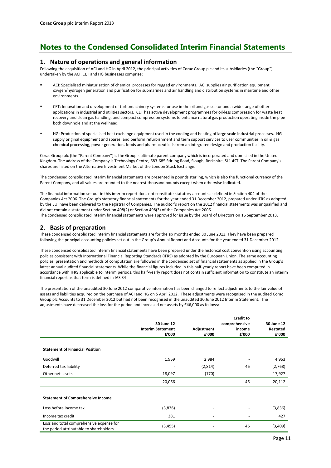#### **1. Nature of operations and general information**

Following the acquisition of ACI and HG in April 2012, the principal activities of Corac Group plc and its subsidiaries (the "Group") undertaken by the ACI, CET and HG businesses comprise:

- ACI: Specialised miniaturisation of chemical processes for rugged environments. ACI supplies air purification equipment, oxygen/hydrogen generation and purification for submarines and air handling and distribution systems in maritime and other environments.
- CET: Innovation and development of turbomachinery systems for use in the oil and gas sector and a wide range of other applications in industrial and utilities sectors. CET has active development programmes for oil-less compression for waste heat recovery and clean gas handling, and compact compression systems to enhance natural gas production operating inside the pipe both downhole and at the wellhead.
- HG: Production of specialised heat exchange equipment used in the cooling and heating of large scale industrial processes. HG supply original equipment and spares, and perform refurbishment and term support services to user communities in oil & gas, chemical processing, power generation, foods and pharmaceuticals from an integrated design and production facility.

Corac Group plc (the "Parent Company") is the Group's ultimate parent company which is incorporated and domiciled in the United Kingdom. The address of the Company is Technology Centre, 683-685 Stirling Road, Slough, Berkshire, SL1 4ST. The Parent Company's shares are listed on the Alternative Investment Market of the London Stock Exchange.

The condensed consolidated interim financial statements are presented in pounds sterling, which is also the functional currency of the Parent Company, and all values are rounded to the nearest thousand pounds except when otherwise indicated.

The financial information set out in this interim report does not constitute statutory accounts as defined in Section 404 of the Companies Act 2006. The Group's statutory financial statements for the year ended 31 December 2012, prepared under IFRS as adopted by the EU, have been delivered to the Registrar of Companies. The auditor's report on the 2012 financial statements was unqualified and did not contain a statement under Section 498(2) or Section 498(3) of the Companies Act 2006.

The condensed consolidated interim financial statements were approved for issue by the Board of Directors on 16 September 2013.

### **2. Basis of preparation**

These condensed consolidated interim financial statements are for the six months ended 30 June 2013. They have been prepared following the principal accounting policies set out in the Group's Annual Report and Accounts for the year ended 31 December 2012.

These condensed consolidated interim financial statements have been prepared under the historical cost convention using accounting policies consistent with International Financial Reporting Standards (IFRS) as adopted by the European Union. The same accounting policies, presentation and methods of computation are followed in the condensed set of financial statements as applied in the Group's latest annual audited financial statements. While the financial figures included in this half-yearly report have been computed in accordance with IFRS applicable to interim periods, this half-yearly report does not contain sufficient information to constitute an interim financial report as that term is defined in IAS 34

The presentation of the unaudited 30 June 2012 comparative information has been changed to reflect adjustments to the fair value of assets and liabilities acquired on the purchase of ACI and HG on 5 April 2012. These adjustments were recognised in the audited Corac Group plc Accounts to 31 December 2012 but had not been recognised in the unaudited 30 June 2012 Interim Statement. The adjustments have decreased the loss for the period and increased net assets by £46,000 as follows:

|                                                                                     | 30 June 12<br><b>Interim Statement</b><br>f'000 | Adjustment<br>f'000      | <b>Credit to</b><br>comprehensive<br>income<br>£'000 | 30 June 12<br>Restated<br>f'000 |
|-------------------------------------------------------------------------------------|-------------------------------------------------|--------------------------|------------------------------------------------------|---------------------------------|
| <b>Statement of Financial Position</b>                                              |                                                 |                          |                                                      |                                 |
| Goodwill                                                                            | 1,969                                           | 2,984                    |                                                      | 4,953                           |
| Deferred tax liability                                                              |                                                 | (2,814)                  | 46                                                   | (2,768)                         |
| Other net assets                                                                    | 18,097                                          | (170)                    |                                                      | 17,927                          |
|                                                                                     | 20,066                                          |                          | 46                                                   | 20,112                          |
| <b>Statement of Comprehensive Income</b>                                            |                                                 |                          |                                                      |                                 |
| Loss before income tax                                                              | (3,836)                                         |                          |                                                      | (3,836)                         |
| Income tax credit                                                                   | 381                                             | $\overline{\phantom{a}}$ |                                                      | 427                             |
| Loss and total comprehensive expense for<br>the period attributable to shareholders | (3, 455)                                        |                          | 46                                                   | (3,409)                         |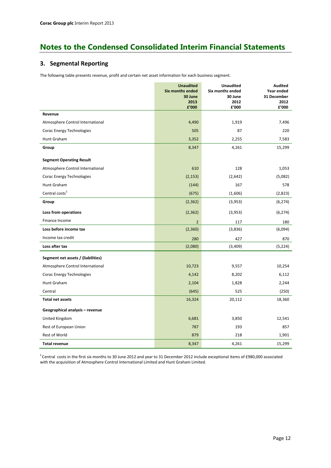### **3. Segmental Reporting**

The following table presents revenue, profit and certain net asset information for each business segment.

|                                    | <b>Unaudited</b><br><b>Six months ended</b> | <b>Unaudited</b><br>Six months ended | <b>Audited</b><br>Year ended |
|------------------------------------|---------------------------------------------|--------------------------------------|------------------------------|
|                                    | 30 June                                     | 30 June                              | 31 December                  |
|                                    | 2013<br>£'000                               | 2012<br>£'000                        | 2012<br>f'000                |
| Revenue                            |                                             |                                      |                              |
| Atmosphere Control International   | 4,490                                       | 1,919                                | 7,496                        |
| Corac Energy Technologies          | 505                                         | 87                                   | 220                          |
| Hunt Graham                        | 3,352                                       | 2,255                                | 7,583                        |
| Group                              | 8,347                                       | 4,261                                | 15,299                       |
| <b>Segment Operating Result</b>    |                                             |                                      |                              |
| Atmosphere Control International   | 610                                         | 128                                  | 1,053                        |
| Corac Energy Technologies          | (2, 153)                                    | (2,642)                              | (5,082)                      |
| Hunt Graham                        | (144)                                       | 167                                  | 578                          |
| Central costs <sup>5</sup>         | (675)                                       | (1,606)                              | (2,823)                      |
| Group                              | (2, 362)                                    | (3,953)                              | (6, 274)                     |
| Loss from operations               | (2, 362)                                    | (3,953)                              | (6, 274)                     |
| Finance Income                     | $\overline{2}$                              | 117                                  | 180                          |
| Loss before income tax             | (2,360)                                     | (3,836)                              | (6,094)                      |
| Income tax credit                  | 280                                         | 427                                  | 870                          |
| Loss after tax                     | (2,080)                                     | (3,409)                              | (5, 224)                     |
| Segment net assets / (liabilities) |                                             |                                      |                              |
| Atmosphere Control International   | 10,723                                      | 9,557                                | 10,254                       |
| Corac Energy Technologies          | 4,142                                       | 8,202                                | 6,112                        |
| Hunt Graham                        | 2,104                                       | 1,828                                | 2,244                        |
| Central                            | (645)                                       | 525                                  | (250)                        |
| <b>Total net assets</b>            | 16,324                                      | 20,112                               | 18,360                       |
| Geographical analysis - revenue    |                                             |                                      |                              |
| United Kingdom                     | 6,681                                       | 3,850                                | 12,541                       |
| Rest of European Union             | 787                                         | 193                                  | 857                          |
| Rest of World                      | 879                                         | 218                                  | 1,901                        |
| Total revenue                      | 8,347                                       | 4,261                                | 15,299                       |

<sup>5</sup> Central costs in the first six months to 30 June 2012 and year to 31 December 2012 include exceptional items of £980,000 associated with the acquisition of Atmosphere Control International Limited and Hunt Graham Limited.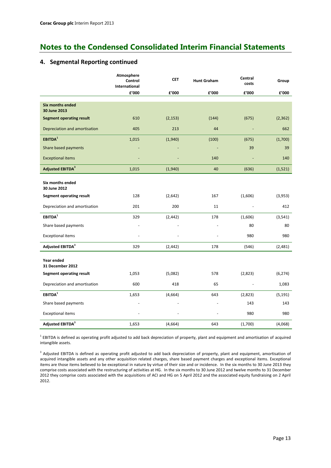## **4. Segmental Reporting continued**

|                                         | Atmosphere<br>Control<br>International | <b>CET</b> | <b>Hunt Graham</b> | Central<br>costs | Group    |
|-----------------------------------------|----------------------------------------|------------|--------------------|------------------|----------|
|                                         | £'000                                  | £'000      | £'000              | £'000            | £'000    |
| <b>Six months ended</b><br>30 June 2013 |                                        |            |                    |                  |          |
| <b>Segment operating result</b>         | 610                                    | (2, 153)   | (144)              | (675)            | (2, 362) |
| Depreciation and amortisation           | 405                                    | 213        | 44                 |                  | 662      |
| EBITDA <sup>1</sup>                     | 1,015                                  | (1,940)    | (100)              | (675)            | (1,700)  |
| Share based payments                    |                                        |            |                    | 39               | 39       |
| <b>Exceptional items</b>                |                                        |            | 140                |                  | 140      |
| Adjusted EBITDA <sup>3</sup>            | 1,015                                  | (1,940)    | 40                 | (636)            | (1,521)  |
| Six months ended<br>30 June 2012        |                                        |            |                    |                  |          |
| <b>Segment operating result</b>         | 128                                    | (2,642)    | 167                | (1,606)          | (3,953)  |
| Depreciation and amortisation           | 201                                    | 200        | 11                 |                  | 412      |
| EBITDA <sup>1</sup>                     | 329                                    | (2, 442)   | 178                | (1,606)          | (3, 541) |
| Share based payments                    |                                        |            |                    | 80               | 80       |
| <b>Exceptional items</b>                |                                        |            |                    | 980              | 980      |
| Adjusted EBITDA <sup>3</sup>            | 329                                    | (2, 442)   | 178                | (546)            | (2,481)  |
| Year ended<br>31 December 2012          |                                        |            |                    |                  |          |
| Segment operating result                | 1,053                                  | (5,082)    | 578                | (2,823)          | (6, 274) |
| Depreciation and amortisation           | 600                                    | 418        | 65                 |                  | 1,083    |
| EBITDA <sup>1</sup>                     | 1,653                                  | (4,664)    | 643                | (2,823)          | (5, 191) |
| Share based payments                    |                                        |            |                    | 143              | 143      |
| <b>Exceptional items</b>                |                                        |            |                    | 980              | 980      |
| Adjusted EBITDA <sup>3</sup>            | 1,653                                  | (4,664)    | 643                | (1,700)          | (4,068)  |

 $^1$  EBITDA is defined as operating profit adjusted to add back depreciation of property, plant and equipment and amortisation of acquired intangible assets.

<sup>3</sup> Adjusted EBITDA is defined as operating profit adjusted to add back depreciation of property, plant and equipment, amortisation of acquired intangible assets and any other acquisition related charges, share based payment charges and exceptional items. Exceptional items are those items believed to be exceptional in nature by virtue of their size and or incidence. In the six months to 30 June 2013 they comprise costs associated with the restructuring of activities at HG. In the six months to 30 June 2012 and twelve months to 31 December 2012 they comprise costs associated with the acquisitions of ACI and HG on 5 April 2012 and the associated equity fundraising on 2 April 2012.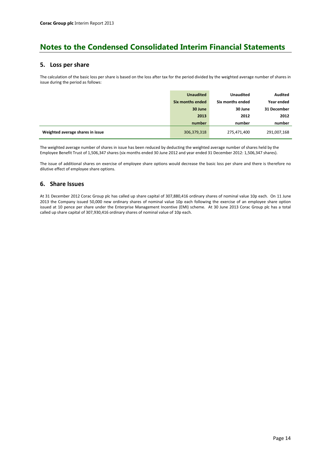#### **5. Loss per share**

The calculation of the basic loss per share is based on the loss after tax for the period divided by the weighted average number of shares in issue during the period as follows:

|                                  | <b>Unaudited</b> | <b>Unaudited</b> | <b>Audited</b> |
|----------------------------------|------------------|------------------|----------------|
|                                  | Six months ended | Six months ended | Year ended     |
|                                  | 30 June          | 30 June          | 31 December    |
|                                  | 2013             | 2012             | 2012           |
|                                  | number           | number           | number         |
| Weighted average shares in issue | 306,379,318      | 275,471,400      | 291,007,168    |

The weighted average number of shares in issue has been reduced by deducting the weighted average number of shares held by the Employee Benefit Trust of 1,506,347 shares (six months ended 30 June 2012 and year ended 31 December 2012: 1,506,347 shares).

The issue of additional shares on exercise of employee share options would decrease the basic loss per share and there is therefore no dilutive effect of employee share options.

### **6. Share Issues**

At 31 December 2012 Corac Group plc has called up share capital of 307,880,416 ordinary shares of nominal value 10p each. On 11 June 2013 the Company issued 50,000 new ordinary shares of nominal value 10p each following the exercise of an employee share option issued at 10 pence per share under the Enterprise Management Incentive (EMI) scheme. At 30 June 2013 Corac Group plc has a total called up share capital of 307,930,416 ordinary shares of nominal value of 10p each.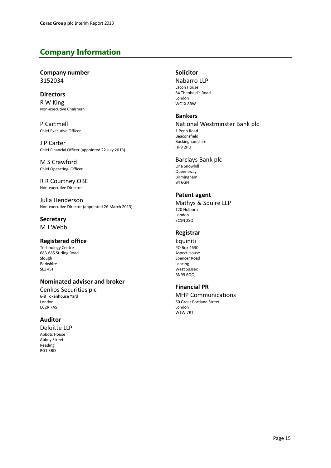## **Company Information**

## **Company number** 3152034

### **Directors**

R W King Non-executive Chairman

P Cartmell Chief Executive Officer

J P Carter Chief Financial Officer (appointed 22 July 2013)

M S Crawford Chief Operatingl Officer

R R Courtney OBE Non-executive Director

Julia Henderson Non-executive Director (appointed 26 March 2013)

### **Secretary** M J Webb

## **Registered office**

Technology Centre 683-685 Stirling Road Slough Berkshire SL1 4ST

## **Nominated adviser and broker**

Cenkos Securities plc 6-8 Tokenhouse Yard London EC2R 7AS

## **Auditor**

Deloitte LLP Abbots House Abbey Street Reading RG1 3BD

### **Solicitor**

Nabarro LLP Lacon House

84 Theobald's Road London WC1X 8RW

### **Bankers**

#### National Westminster Bank plc

1 Penn Road Beaconsfield Buckinghamshire HP9 2PU

## Barclays Bank plc

One Snowhill Queensway Birmingham B4 6GN

## **Patent agent**

Mathys & Squire LLP 120 Holborn London EC1N 2SQ

## **Registrar**

Equiniti PO Box 4630 Aspect House Spencer Road Lancing West Sussex BN99 6QQ

## **Financial PR**

MHP Communications 60 Great Portland Street London W1W 7RT